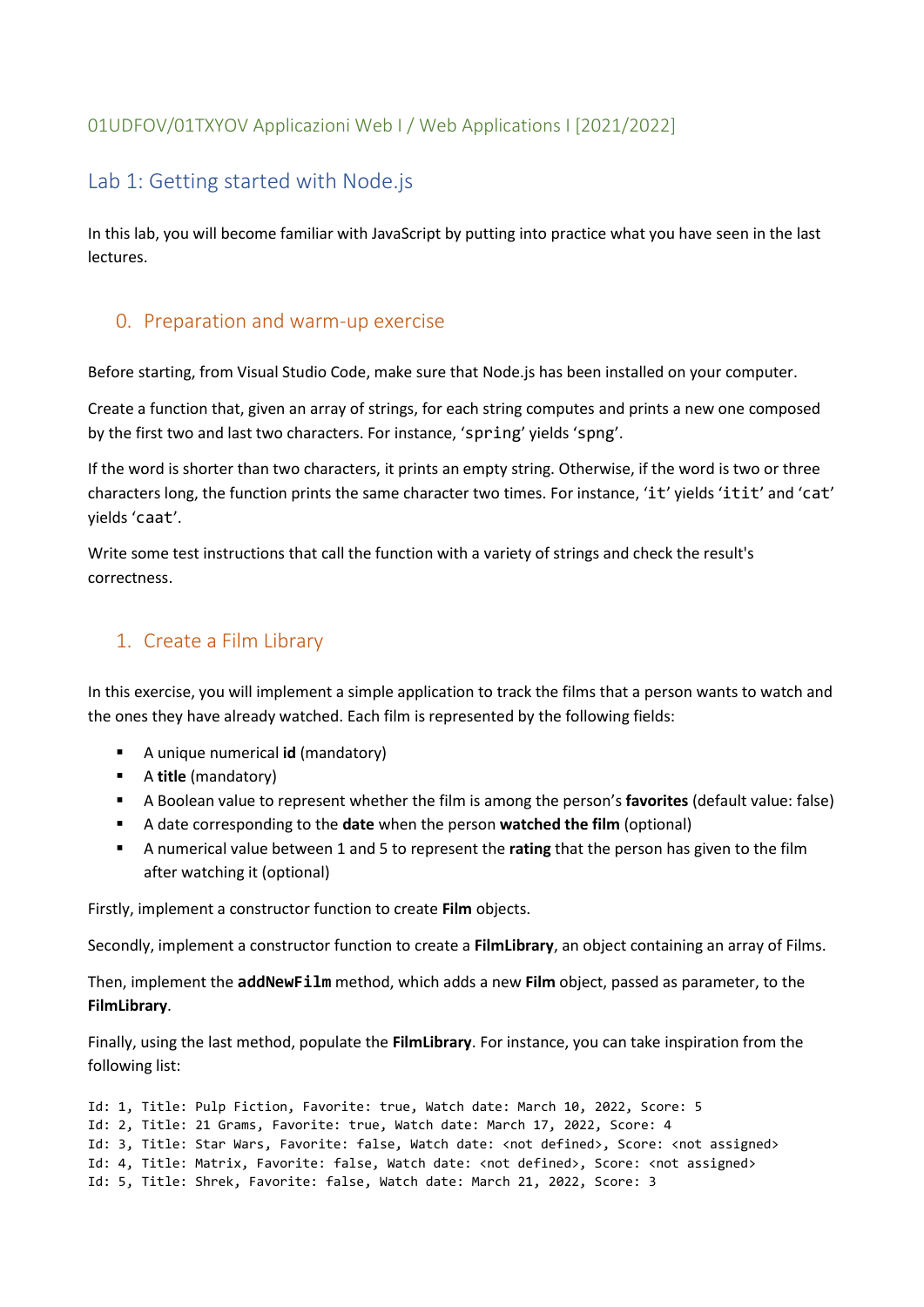### 01UDFOV/01TXYOV Applicazioni Web I / Web Applications I [2021/2022]

# Lab 1: Getting started with Node.js

In this lab, you will become familiar with JavaScript by putting into practice what you have seen in the last lectures.

#### 0. Preparation and warm-up exercise

Before starting, from Visual Studio Code, make sure that Node.js has been installed on your computer.

Create a function that, given an array of strings, for each string computes and prints a new one composed by the first two and last two characters. For instance, 'spring' yields 'spng'.

If the word is shorter than two characters, it prints an empty string. Otherwise, if the word is two or three characters long, the function prints the same character two times. For instance, 'it' yields 'itit' and 'cat' yields 'caat'.

Write some test instructions that call the function with a variety of strings and check the result's correctness.

## 1. Create a Film Library

In this exercise, you will implement a simple application to track the films that a person wants to watch and the ones they have already watched. Each film is represented by the following fields:

- A unique numerical **id** (mandatory)
- A **title** (mandatory)
- A Boolean value to represent whether the film is among the person's **favorites** (default value: false)
- A date corresponding to the **date** when the person **watched the film** (optional)
- A numerical value between 1 and 5 to represent the **rating** that the person has given to the film after watching it (optional)

Firstly, implement a constructor function to create **Film** objects.

Secondly, implement a constructor function to create a **FilmLibrary**, an object containing an array of Films.

Then, implement the **addNewFilm** method, which adds a new **Film** object, passed as parameter, to the **FilmLibrary**.

Finally, using the last method, populate the **FilmLibrary**. For instance, you can take inspiration from the following list:

```
Id: 1, Title: Pulp Fiction, Favorite: true, Watch date: March 10, 2022, Score: 5
Id: 2, Title: 21 Grams, Favorite: true, Watch date: March 17, 2022, Score: 4
Id: 3, Title: Star Wars, Favorite: false, Watch date: <not defined>, Score: <not assigned> 
Id: 4, Title: Matrix, Favorite: false, Watch date: <not defined>, Score: <not assigned>
Id: 5, Title: Shrek, Favorite: false, Watch date: March 21, 2022, Score: 3
```